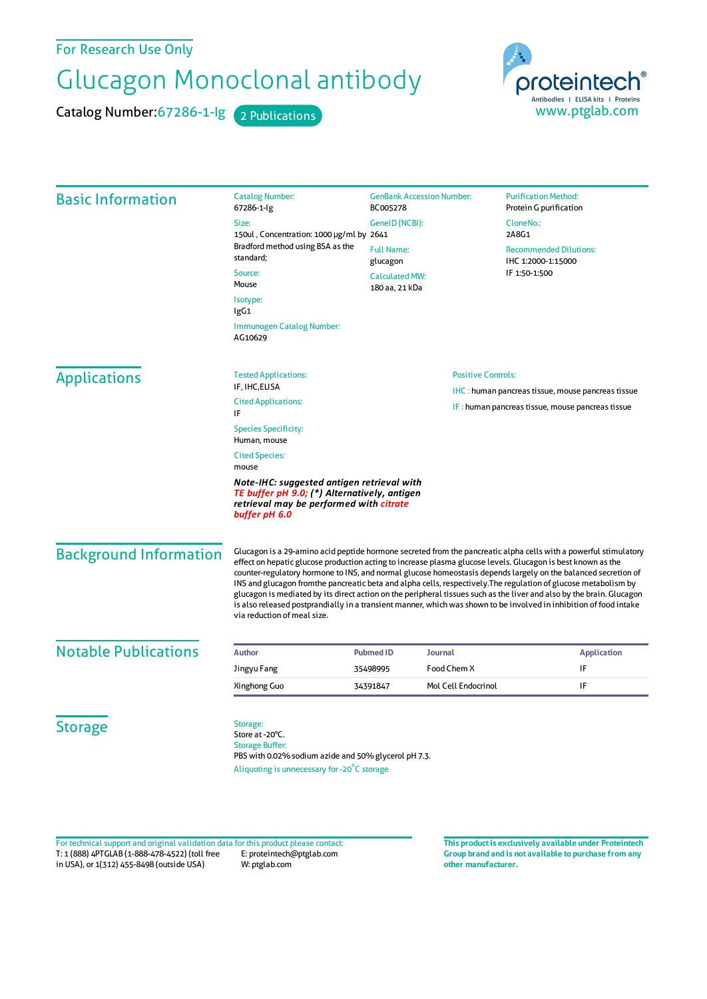## For Research Use Only

## Glucagon Monoclonal antibody

Catalog Number: 67286-1-lg 2 Publications



| <b>Basic Information</b>                                                                                                                               | <b>Catalog Number:</b><br>67286-1-lg                                                                                                                                                                                                                                                                                                                                                                                                                                                                                                                                                                                                                                                                                                                | <b>GenBank Accession Number:</b><br>BC005278                             |                                                                                 | <b>Purification Method:</b><br>Protein G purification                         |         |
|--------------------------------------------------------------------------------------------------------------------------------------------------------|-----------------------------------------------------------------------------------------------------------------------------------------------------------------------------------------------------------------------------------------------------------------------------------------------------------------------------------------------------------------------------------------------------------------------------------------------------------------------------------------------------------------------------------------------------------------------------------------------------------------------------------------------------------------------------------------------------------------------------------------------------|--------------------------------------------------------------------------|---------------------------------------------------------------------------------|-------------------------------------------------------------------------------|---------|
|                                                                                                                                                        | Size:                                                                                                                                                                                                                                                                                                                                                                                                                                                                                                                                                                                                                                                                                                                                               | GeneID (NCBI):                                                           |                                                                                 | CloneNo.:                                                                     |         |
|                                                                                                                                                        | 150ul, Concentration: 1000 µg/ml by 2641<br>Bradford method using BSA as the<br>standard:                                                                                                                                                                                                                                                                                                                                                                                                                                                                                                                                                                                                                                                           | <b>Full Name:</b><br>glucagon<br><b>Calculated MW:</b><br>180 aa, 21 kDa |                                                                                 | 2A8G1<br><b>Recommended Dilutions:</b><br>IHC 1:2000-1:15000<br>IF 1:50-1:500 |         |
|                                                                                                                                                        |                                                                                                                                                                                                                                                                                                                                                                                                                                                                                                                                                                                                                                                                                                                                                     |                                                                          |                                                                                 |                                                                               | Source: |
|                                                                                                                                                        | Mouse                                                                                                                                                                                                                                                                                                                                                                                                                                                                                                                                                                                                                                                                                                                                               |                                                                          |                                                                                 |                                                                               |         |
|                                                                                                                                                        | Isotype:<br>lgG1                                                                                                                                                                                                                                                                                                                                                                                                                                                                                                                                                                                                                                                                                                                                    |                                                                          |                                                                                 |                                                                               |         |
|                                                                                                                                                        | Immunogen Catalog Number:<br>AG10629                                                                                                                                                                                                                                                                                                                                                                                                                                                                                                                                                                                                                                                                                                                |                                                                          |                                                                                 |                                                                               |         |
|                                                                                                                                                        | <b>Applications</b>                                                                                                                                                                                                                                                                                                                                                                                                                                                                                                                                                                                                                                                                                                                                 | <b>Tested Applications:</b>                                              | <b>Positive Controls:</b><br>IHC : human pancreas tissue, mouse pancreas tissue |                                                                               |         |
| IF, IHC, ELISA                                                                                                                                         |                                                                                                                                                                                                                                                                                                                                                                                                                                                                                                                                                                                                                                                                                                                                                     |                                                                          |                                                                                 |                                                                               |         |
| <b>Cited Applications:</b><br>IF                                                                                                                       |                                                                                                                                                                                                                                                                                                                                                                                                                                                                                                                                                                                                                                                                                                                                                     |                                                                          | IF: human pancreas tissue, mouse pancreas tissue                                |                                                                               |         |
| <b>Species Specificity:</b><br>Human, mouse                                                                                                            |                                                                                                                                                                                                                                                                                                                                                                                                                                                                                                                                                                                                                                                                                                                                                     |                                                                          |                                                                                 |                                                                               |         |
| <b>Cited Species:</b><br>mouse                                                                                                                         |                                                                                                                                                                                                                                                                                                                                                                                                                                                                                                                                                                                                                                                                                                                                                     |                                                                          |                                                                                 |                                                                               |         |
| Note-IHC: suggested antigen retrieval with<br>TE buffer pH 9.0; (*) Alternatively, antigen<br>retrieval may be performed with citrate<br>buffer pH 6.0 |                                                                                                                                                                                                                                                                                                                                                                                                                                                                                                                                                                                                                                                                                                                                                     |                                                                          |                                                                                 |                                                                               |         |
| <b>Background Information</b>                                                                                                                          | Glucagon is a 29-amino acid peptide hormone secreted from the pancreatic alpha cells with a powerful stimulatory<br>effect on hepatic glucose production acting to increase plasma glucose levels. Glucagon is best known as the<br>counter-regulatory hormone to INS, and normal glucose homeostasis depends largely on the balanced secretion of<br>INS and glucagon fromthe pancreatic beta and alpha cells, respectively. The regulation of glucose metabolism by<br>glucagon is mediated by its direct action on the peripheral tissues such as the liver and also by the brain. Glucagon<br>is also released postprandially in a transient manner, which was shown to be involved in inhibition of food intake<br>via reduction of meal size. |                                                                          |                                                                                 |                                                                               |         |
| <b>Notable Publications</b>                                                                                                                            | <b>Author</b>                                                                                                                                                                                                                                                                                                                                                                                                                                                                                                                                                                                                                                                                                                                                       | <b>Pubmed ID</b><br><b>Journal</b>                                       |                                                                                 | <b>Application</b>                                                            |         |
|                                                                                                                                                        | Jingyu Fang                                                                                                                                                                                                                                                                                                                                                                                                                                                                                                                                                                                                                                                                                                                                         | 35498995                                                                 | Food Chem X                                                                     | IF                                                                            |         |
|                                                                                                                                                        | Xinghong Guo                                                                                                                                                                                                                                                                                                                                                                                                                                                                                                                                                                                                                                                                                                                                        | 34391847                                                                 | Mol Cell Endocrinol                                                             | IF                                                                            |         |
| <b>Storage</b>                                                                                                                                         | Storage:<br>Store at -20°C.<br><b>Storage Buffer:</b><br>PBS with 0.02% sodium azide and 50% glycerol pH 7.3.<br>Aliquoting is unnecessary for -20°C storage                                                                                                                                                                                                                                                                                                                                                                                                                                                                                                                                                                                        |                                                                          |                                                                                 |                                                                               |         |

T: 1 (888) 4PTGLAB (1-888-478-4522) (toll free in USA), or 1(312) 455-8498 (outside USA) E: proteintech@ptglab.com W: ptglab.com Fortechnical support and original validation data forthis product please contact: **This productis exclusively available under Proteintech**

**Group brand and is not available to purchase from any other manufacturer.**